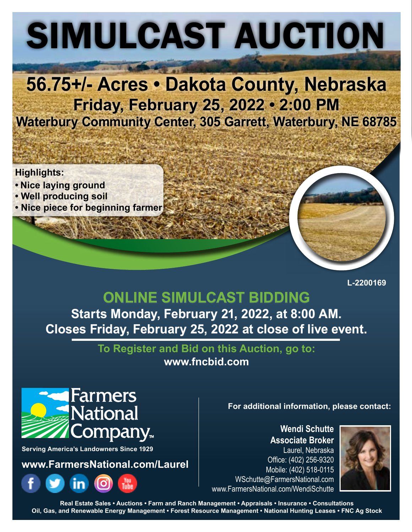# SIMULCAST AUCTION

# **56.75+/- Acres • Dakota County, Nebraska Friday, February 25, 2022 • 2:00 PM Waterbury Community Center, 305 Garrett, Waterbury, NE 68785**

**Highlights:**

- **Nice laying ground**
- **Well producing soil**
- **Nice piece for beginning farmer**

**L-2200169**

## **ONLINE SIMULCAST BIDDING Starts Monday, February 21, 2022, at 8:00 AM. Closes Friday, February 25, 2022 at close of live event.**

**To Register and Bid on this Auction, go to: [www.fncbid.com](http://www.fncbid.com)**

## **Farmers National** `ompany<sub>™</sub>

**Serving America's Landowners Since 1929**

**www.FarmersNational.com/Laurel**



#### **For additional information, please contact:**

**Wendi Schutte Associate Broker** Laurel, Nebraska Office: (402) 256-9320 Mobile: (402) 518-0115 WSchutte@FarmersNational.com www.FarmersNational.com/WendiSchutte



**Real Estate Sales • Auctions • Farm and Ranch Management • Appraisals • Insurance • Consultations Oil, Gas, and Renewable Energy Management • Forest Resource Management • National Hunting Leases • FNC Ag Stock**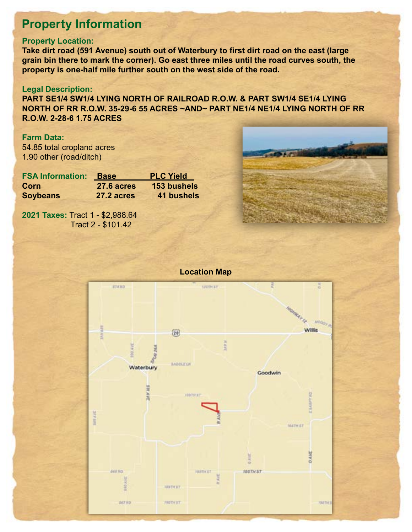## **Property Information**

#### **Property Location:**

**Take dirt road (591 Avenue) south out of Waterbury to first dirt road on the east (large grain bin there to mark the corner). Go east three miles until the road curves south, the property is one-half mile further south on the west side of the road.**

#### **Legal Description:**

**PART SE1/4 SW1/4 LYING NORTH OF RAILROAD R.O.W. & PART SW1/4 SE1/4 LYING NORTH OF RR R.O.W. 35-29-6 55 ACRES ~AND~ PART NE1/4 NE1/4 LYING NORTH OF RR R.O.W. 2-28-6 1.75 ACRES**

#### **Farm Data:**

54.85 total cropland acres 1.90 other (road/ditch)

| <b>FSA Information:</b> | <b>Base</b> | <b>PLC Yield</b>   |
|-------------------------|-------------|--------------------|
| Corn                    | 27.6 acres  | <b>153 bushels</b> |
| <b>Soybeans</b>         | 27.2 acres  | <b>41 bushels</b>  |

**2021 Taxes:** Tract 1 - \$2,988.64 Tract 2 - \$101.42 -"+,  $1 - 22,900.04$ 





#### **Location Map**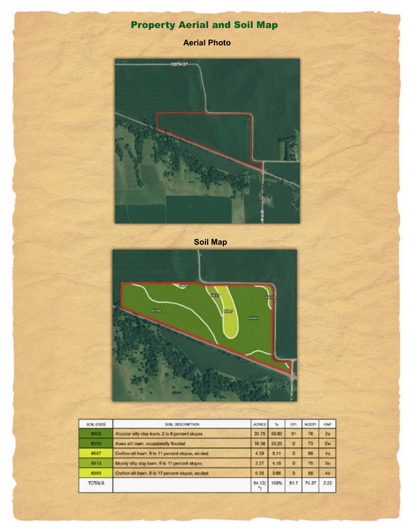## Property Aerial and Soil Map

**Aerial Photo**



**Soil Map**



| SOIL CODE     | SOIL DESCRIPTION                                  | <b>ACRES</b> | ч,    | CH       | NOCF! | <b>CAF</b>     |
|---------------|---------------------------------------------------|--------------|-------|----------|-------|----------------|
| 6603          | Alcester silty clay learn, 2 to 6 percent slopes  | 30.75        | 56.82 | 91       | 76    | 2 <sub>0</sub> |
| 6300          | Aowa sit loam, occasionally flooded               | 16.38        | 30.23 | ō        | 73    | 2w             |
| 6687          | Crofton sit loam, 8 to 11 percent slopes, eroded  | 4 3 0        | 8.11  | ō        | 69    | 46             |
| 6813          | Moody sity day loam. 8 to 11 percent slopes       | 227          | 4.19  | $\Omega$ | 75    | 3 <sub>0</sub> |
| 6860          | Crofton silt loam, 8 to 17 percent slopes, eroded | 0.35         | 0.65  | ö        | 58    | 40             |
| <b>TOTALS</b> |                                                   | 54.120       | 100%  | 51.7     | 74.37 | 2.22           |